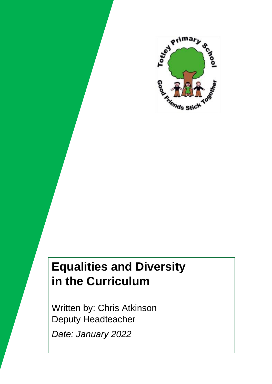

# **Equalities and Diversity in the Curriculum**

Written by: Chris Atkinson Deputy Headteacher *Date: January 2022*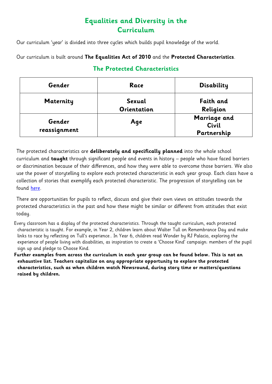### **Equalities and Diversity in the Curriculum**

Our curriculum 'year' is divided into three cycles which builds pupil knowledge of the world.

#### Our curriculum is built around **The Equalities Act of 2010** and the **Protected Characteristics**.

| Gender                 | Race                         | <b>Disability</b>                    |
|------------------------|------------------------------|--------------------------------------|
| Maternity              | Sexual<br><b>Orientation</b> | <b>Faith and</b><br>Religion         |
| Gender<br>reassignment | Aqe                          | Marriage and<br>Civil<br>Partnership |

#### **The Protected Characteristics**

The protected characteristics are **deliberately and specifically planned** into the whole school curriculum and **taught** through significant people and events in history – people who have faced barriers or discrimination because of their differences, and how they were able to overcome those barriers. We also use the power of storytelling to explore each protected characteristic in each year group. Each class have a collection of stories that exemplify each protected characteristic. The progression of storytelling can be found [here.](https://www.totley.sheffield.sch.uk/attachments/download.asp?file=123&type=pdf)

There are opportunities for pupils to reflect, discuss and give their own views on attitudes towards the protected characteristics in the past and how these might be similar or different from attitudes that exist today.

- Every classroom has a display of the protected characteristics. Through the taught curriculum, each protected characteristic is taught. For example, in Year 2, children learn about Walter Tull on Remembrance Day and make links to race by reflecting on Tull's experience.. In Year 6, children read Wonder by RJ Palacio, exploring the experience of people living with disabilities, as inspiration to create a 'Choose Kind' campaign: members of the pupil sign up and pledge to Choose Kind.
- **Further examples from across the curriculum in each year group can be found below. This is not an exhaustive list. Teachers capitalize on any appropriate opportunity to explore the protected characteristics, such as when children watch Newsround, during story time or matters/questions raised by children.**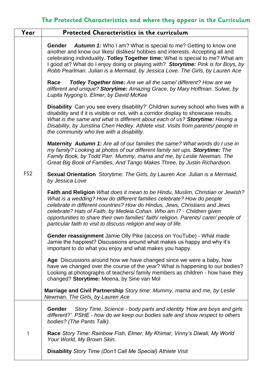## **The Protected Characteristics and where they appear in the Curriculum**

| Year            | Protected Characteristics in the curriculum                                                                                                                                                                                                                                                                                                                                                                                                                            |
|-----------------|------------------------------------------------------------------------------------------------------------------------------------------------------------------------------------------------------------------------------------------------------------------------------------------------------------------------------------------------------------------------------------------------------------------------------------------------------------------------|
| FS <sub>2</sub> | <b>Autumn 1:</b> Who I am? What is special to me? Getting to know one<br><b>Gender</b><br>another and know our likes/ dislikes/ hobbies and interests. Accepting all and<br>celebrating individuality. Totley Together time: What is special to me? What am<br>I good at? What do I enjoy doing or playing with? Storytime: Pink is for Boys, by<br>Robb Pearlman. Julian is a Mermaid, by Jessica Love. The Girls, by Lauren Ace                                      |
|                 | <b>Totley Together time:</b> Are we all the same/ different? How are we<br>Race<br>different and unique? Storytime: Amazing Grace, by Mary Hoffman. Sulwe, by<br>Lupita Nygong'o. Elmer, by David McKee                                                                                                                                                                                                                                                                |
|                 | <b>Disability</b> Can you see every disability?' Children survey school who lives with a<br>disability and if it is visible or not, with a corridor display to showcase results.<br>What is the same and what is different about each of us? Storytime: Having a<br>Disability, by Junstina Chen Hedley. Athlete visit. Visits from parents/ people in<br>the community who live with a disability.                                                                    |
|                 | Maternity Autumn 1: Are all of our families the same? What words do I use in<br>my family? Looking at photos of our different family set ups. Storytime: The<br>Family Book, by Todd Parr. Mummy, mama and me, by Leslie Newman. The<br>Great Big Book of Families, And Tango Makes Three, by Justin Richardson.                                                                                                                                                       |
|                 | <b>Sexual Orientation</b> Storytime: The Girls, by Lauren Ace. Julian is a Mermaid,<br>by Jessica Love                                                                                                                                                                                                                                                                                                                                                                 |
|                 | Faith and Religion What does it mean to be Hindu, Muslim, Christian or Jewish?<br>What is a wedding? How do different families celebrate? How do people<br>celebrate in different countries? How do Hindus, Jews, Christians and Jews<br>celebrate? Hats of Faith, by Medeia Cohan. Who am I? - Children given<br>opportunities to share their own families' faith/religion. Parents/carer/people of<br>particular faith to visit to discuss religion and way of life. |
|                 | Gender reassignment Jamie Olly Pike (access on YouTube) - What made<br>Jamie the happiest? Discussions around what makes us happy and why it's<br>important to do what you enjoy and what makes you happy.                                                                                                                                                                                                                                                             |
|                 | Age Discussions around how we have changed since we were a baby, how<br>have we changed over the course of the year? What is happening to our bodies?<br>Looking at photographs of teachers/ family members as children - how have they<br>changed? Storytime: Meena, by Sine van Mol                                                                                                                                                                                  |
|                 | Marriage and Civil Partnership Story time: Mummy, mama and me, by Leslie<br>Newman. The Girls, by Lauren Ace                                                                                                                                                                                                                                                                                                                                                           |
|                 | Story Time, Science - body parts and identity 'How are boys and girls<br><b>Gender</b><br>different?'. PSHE - how do we keep our bodies safe and show respect to others<br>bodies? (The Pants Talk).                                                                                                                                                                                                                                                                   |
| 1               | Race Story Time: Rainbow Fish, Elmer, My Khimar, Vinny's Diwali, My World<br>Your World, My Brown Skin.                                                                                                                                                                                                                                                                                                                                                                |
|                 | <b>Disability Story Time (Don't Call Me Special) Athlete Visit</b>                                                                                                                                                                                                                                                                                                                                                                                                     |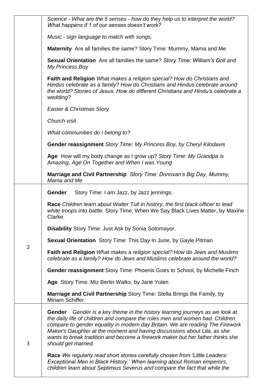|                | Science - What are the 5 senses - how do they help us to interpret the world?<br>What happens if 1 of our senses doesn't work?                                                                                                                                                                                                                                                                                                              |
|----------------|---------------------------------------------------------------------------------------------------------------------------------------------------------------------------------------------------------------------------------------------------------------------------------------------------------------------------------------------------------------------------------------------------------------------------------------------|
|                | Music - sign language to match with songs.                                                                                                                                                                                                                                                                                                                                                                                                  |
|                | Maternity Are all families the same? Story Time: Mummy, Mama and Me                                                                                                                                                                                                                                                                                                                                                                         |
|                | <b>Sexual Orientation</b> Are all families the same? Story Time: William's Doll and<br>My Princess Boy                                                                                                                                                                                                                                                                                                                                      |
|                | Faith and Religion What makes a religion special? How do Christians and<br>Hindus celebrate as a family? How do Christians and Hindus celebrate around<br>the world? Stories of Jesus. How do different Christians and Hindu's celebrate a<br>wedding?                                                                                                                                                                                      |
|                | Easter & Christmas Story                                                                                                                                                                                                                                                                                                                                                                                                                    |
|                | Church visit                                                                                                                                                                                                                                                                                                                                                                                                                                |
|                | What communities do I belong to?                                                                                                                                                                                                                                                                                                                                                                                                            |
|                | Gender reassignment Story Time: My Princess Boy, by Cheryl Kilodavis                                                                                                                                                                                                                                                                                                                                                                        |
|                | Age How will my body change as I grow up? Story Time: My Grandpa is<br>Amazing, Age On Together and When I was Young                                                                                                                                                                                                                                                                                                                        |
|                | Marriage and Civil Partnership Story Time: Donovan's Big Day, Mummy,<br>Mama and Me                                                                                                                                                                                                                                                                                                                                                         |
|                | <b>Gender</b><br>Story Time: I am Jazz, by Jazz jennings.                                                                                                                                                                                                                                                                                                                                                                                   |
|                | Race Children learn about Walter Tull in history, the first black officer to lead<br>white troops into battle. Story Time: When We Say Black Lives Matter, by Maxine<br>Clarke.                                                                                                                                                                                                                                                             |
|                | <b>Disability Story Time: Just Ask by Sonia Sotomayor.</b>                                                                                                                                                                                                                                                                                                                                                                                  |
|                | <b>Sexual Orientation</b> Story Time: This Day In June, by Gayle Pitman                                                                                                                                                                                                                                                                                                                                                                     |
| $\overline{2}$ | Faith and Religion What makes a religion special? How do Jews and Muslims<br>celebrate as a family? How do Jews and Muslims celebrate around the world?                                                                                                                                                                                                                                                                                     |
|                | Gender reassignment Story Time: Phoenix Goes to School, by Michelle Finch                                                                                                                                                                                                                                                                                                                                                                   |
|                | Age Story Time: Miz Berlin Walks, by Jane Yolen                                                                                                                                                                                                                                                                                                                                                                                             |
|                | Marriage and Civil Partnership Story Time: Stella Brings the Family, by<br>Miriam Schiffer.                                                                                                                                                                                                                                                                                                                                                 |
| 3              | Gender is a key theme in the history learning journeys as we look at<br><b>Gender</b><br>the daily life of children and compare the roles men and women had. Children<br>compare to gender equality in modern day Britain. We are reading The Firework<br>Maker's Daughter at the moment and having discussions about Lila, as she<br>wants to break tradition and become a firework maker but her father thinks she<br>should get married. |
|                | Race We regularly read short stories carefully chosen from 'Little Leaders:<br>Exceptional Men in Black History.' When learning about Roman emperors,<br>children learn about Septimius Severus and compare the fact that while the                                                                                                                                                                                                         |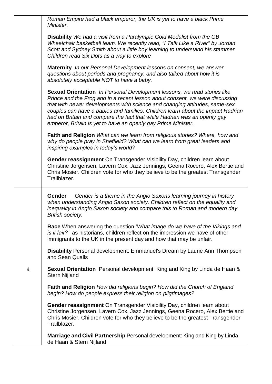*Roman Empire had a black emperor, the UK is yet to have a black Prime Minister.*

**Disability** *We had a visit from a Paralympic Gold Medalist from the GB Wheelchair basketball team. We recently read, "I Talk Like a River" by Jordan Scott and Sydney Smith about a little boy learning to understand his stammer. Children read Six Dots as a way to explore*

**Maternity** *In our Personal Development lessons on consent, we answer questions about periods and pregnancy, and also talked about how it is absolutely acceptable NOT to have a baby.*

**Sexual Orientation** *In Personal Development lessons, we read stories like Prince and the Frog and in a recent lesson about consent, we were discussing that with newer developments with science and changing attitudes, same-sex couples can have a babies and families. Children learn about the impact Hadrian had on Britain and compare the fact that while Hadrian was an openly gay emperor, Britain is yet to have an openly gay Prime Minister.*

**Faith and Religion** *What can we learn from religious stories? Where, how and why do people pray in Sheffield? What can we learn from great leaders and inspiring examples in today's world?*

**Gender reassignment** On Transgender Visibility Day, children learn about Christine Jorgensen, Lavern Cox, Jazz Jennings, Geena Rocero, Alex Bertie and Chris Mosier. Children vote for who they believe to be the greatest Transgender Trailblazer.

**Gender** *Gender is a theme in the Anglo Saxons learning journey in history when understanding Anglo Saxon society. Children reflect on the equality and inequality in Anglo Saxon society and compare this to Roman and modern day British society.*

**Race** When answering the question '*What image do we have of the Vikings and is it fair?'* as historians, children reflect on the impression we have of other immigrants to the UK in the present day and how that may be unfair.

**Disability** Personal development: Emmanuel's Dream by Laurie Ann Thompson and Sean Qualls

4 **Sexual Orientation** Personal development: King and King by Linda de Haan & Stern Nijland

**Faith and Religion** *How did religions begin? How did the Church of England begin? How do people express their religion on pilgrimages?*

**Gender reassignment** On Transgender Visibility Day, children learn about Christine Jorgensen, Lavern Cox, Jazz Jennings, Geena Rocero, Alex Bertie and Chris Mosier. Children vote for who they believe to be the greatest Transgender Trailblazer.

**Marriage and Civil Partnership** Personal development: King and King by Linda de Haan & Stern Nijland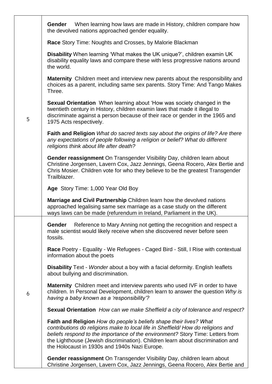|   | When learning how laws are made in History, children compare how<br><b>Gender</b><br>the devolved nations approached gender equality.                                                                                                                                                                                                                                       |
|---|-----------------------------------------------------------------------------------------------------------------------------------------------------------------------------------------------------------------------------------------------------------------------------------------------------------------------------------------------------------------------------|
|   | <b>Race Story Time: Noughts and Crosses, by Malorie Blackman</b>                                                                                                                                                                                                                                                                                                            |
| 5 | Disability When learning 'What makes the UK unique?', children examin UK<br>disability equality laws and compare these with less progressive nations around<br>the world.                                                                                                                                                                                                   |
|   | <b>Maternity</b> Children meet and interview new parents about the responsibility and<br>choices as a parent, including same sex parents. Story Time: And Tango Makes<br>Three.                                                                                                                                                                                             |
|   | <b>Sexual Orientation</b> When learning about 'How was society changed in the<br>twentieth century in History, children examin laws that made it illegal to<br>discriminate against a person because of their race or gender in the 1965 and<br>1975 Acts respectively.                                                                                                     |
|   | <b>Faith and Religion</b> What do sacred texts say about the origins of life? Are there<br>any expectations of people following a religion or belief? What do different<br>religions think about life after death?                                                                                                                                                          |
|   | Gender reassignment On Transgender Visibility Day, children learn about<br>Christine Jorgensen, Lavern Cox, Jazz Jennings, Geena Rocero, Alex Bertie and<br>Chris Mosier. Children vote for who they believe to be the greatest Transgender<br>Trailblazer.                                                                                                                 |
|   | Age Story Time: 1,000 Year Old Boy                                                                                                                                                                                                                                                                                                                                          |
|   | Marriage and Civil Partnership Children learn how the devolved nations<br>approached legalising same sex marriage as a case study on the different<br>ways laws can be made (refurendum in Ireland, Parliament in the UK).                                                                                                                                                  |
| 6 | Reference to Mary Anning not getting the recognition and respect a<br>Gender<br>male scientist would likely receive when she discovered never before seen<br>fossils.                                                                                                                                                                                                       |
|   | Race Poetry - Equality - We Refugees - Caged Bird - Still, I Rise with contextual<br>information about the poets                                                                                                                                                                                                                                                            |
|   | <b>Disability</b> Text - Wonder about a boy with a facial deformity. English leaflets<br>about bullying and discrimination.                                                                                                                                                                                                                                                 |
|   | <b>Maternity</b> Children meet and interview parents who used IVF in order to have<br>children. In Personal Development, children learn to answer the question Why is<br>having a baby known as a 'responsibility'?                                                                                                                                                         |
|   | <b>Sexual Orientation</b> How can we make Sheffield a city of tolerance and respect?                                                                                                                                                                                                                                                                                        |
|   | Faith and Religion How do people's beliefs shape their lives? What<br>contributions do religions make to local life in Sheffield/How do religions and<br>beliefs respond to the importance of the environment? Story Time: Letters from<br>the Lighthouse (Jewish discrimination). Children learn about discrimination and<br>the Holocaust in 1930s and 1940s Nazi Europe. |
|   | Gender reassignment On Transgender Visibility Day, children learn about<br>Christine Jorgensen, Lavern Cox, Jazz Jennings, Geena Rocero, Alex Bertie and                                                                                                                                                                                                                    |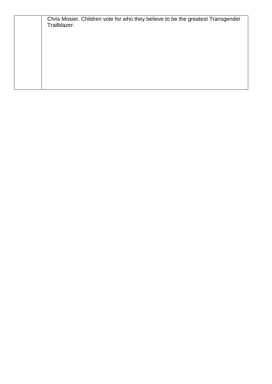| Chris Mosier. Children vote for who they believe to be the greatest Transgender<br>Trailblazer. |  |  |  |  |
|-------------------------------------------------------------------------------------------------|--|--|--|--|
|                                                                                                 |  |  |  |  |
|                                                                                                 |  |  |  |  |
|                                                                                                 |  |  |  |  |
|                                                                                                 |  |  |  |  |
|                                                                                                 |  |  |  |  |